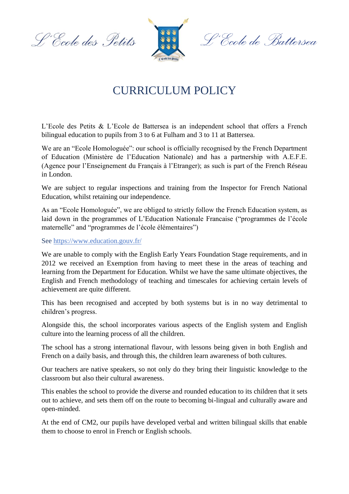L'Ecole des Petits



L'École de Battersea

## CURRICULUM POLICY

L'Ecole des Petits & L'Ecole de Battersea is an independent school that offers a French bilingual education to pupils from 3 to 6 at Fulham and 3 to 11 at Battersea.

We are an "Ecole Homologuée": our school is officially recognised by the French Department of Education (Ministère de l'Education Nationale) and has a partnership with A.E.F.E. (Agence pour l'Enseignement du Français à l'Etranger); as such is part of the French Réseau in London.

We are subject to regular inspections and training from the Inspector for French National Education, whilst retaining our independence.

As an "Ecole Homologuée", we are obliged to strictly follow the French Education system, as laid down in the programmes of L'Education Nationale Francaise ("programmes de l'école maternelle" and "programmes de l'école élémentaires")

See<https://www.education.gouv.fr/>

We are unable to comply with the English Early Years Foundation Stage requirements, and in 2012 we received an Exemption from having to meet these in the areas of teaching and learning from the Department for Education. Whilst we have the same ultimate objectives, the English and French methodology of teaching and timescales for achieving certain levels of achievement are quite different.

This has been recognised and accepted by both systems but is in no way detrimental to children's progress.

Alongside this, the school incorporates various aspects of the English system and English culture into the learning process of all the children.

The school has a strong international flavour, with lessons being given in both English and French on a daily basis, and through this, the children learn awareness of both cultures.

Our teachers are native speakers, so not only do they bring their linguistic knowledge to the classroom but also their cultural awareness.

This enables the school to provide the diverse and rounded education to its children that it sets out to achieve, and sets them off on the route to becoming bi-lingual and culturally aware and open-minded.

At the end of CM2, our pupils have developed verbal and written bilingual skills that enable them to choose to enrol in French or English schools.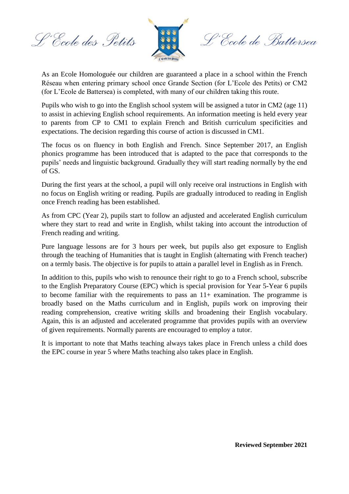L'Ecole des Petits



o.<br>Ecole de Battersea

As an Ecole Homologuée our children are guaranteed a place in a school within the French Réseau when entering primary school once Grande Section (for L'Ecole des Petits) or CM2 (for L'Ecole de Battersea) is completed, with many of our children taking this route.

Pupils who wish to go into the English school system will be assigned a tutor in CM2 (age 11) to assist in achieving English school requirements. An information meeting is held every year to parents from CP to CM1 to explain French and British curriculum specificities and expectations. The decision regarding this course of action is discussed in CM1.

The focus os on fluency in both English and French. Since September 2017, an English phonics programme has been introduced that is adapted to the pace that corresponds to the pupils' needs and linguistic background. Gradually they will start reading normally by the end of GS.

During the first years at the school, a pupil will only receive oral instructions in English with no focus on English writing or reading. Pupils are gradually introduced to reading in English once French reading has been established.

As from CPC (Year 2), pupils start to follow an adjusted and accelerated English curriculum where they start to read and write in English, whilst taking into account the introduction of French reading and writing.

Pure language lessons are for 3 hours per week, but pupils also get exposure to English through the teaching of Humanities that is taught in English (alternating with French teacher) on a termly basis. The objective is for pupils to attain a parallel level in English as in French.

In addition to this, pupils who wish to renounce their right to go to a French school, subscribe to the English Preparatory Course (EPC) which is special provision for Year 5-Year 6 pupils to become familiar with the requirements to pass an  $11+$  examination. The programme is broadly based on the Maths curriculum and in English, pupils work on improving their reading comprehension, creative writing skills and broadening their English vocabulary. Again, this is an adjusted and accelerated programme that provides pupils with an overview of given requirements. Normally parents are encouraged to employ a tutor.

It is important to note that Maths teaching always takes place in French unless a child does the EPC course in year 5 where Maths teaching also takes place in English.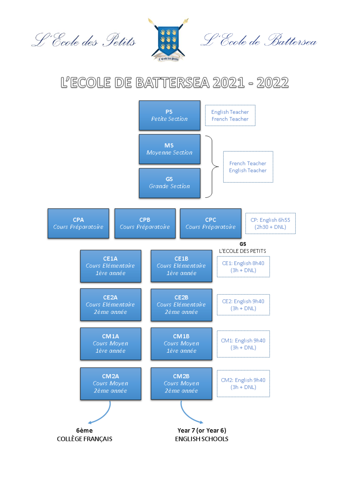



## L'ECOLE DE BATTERSEA 2021 - 2022